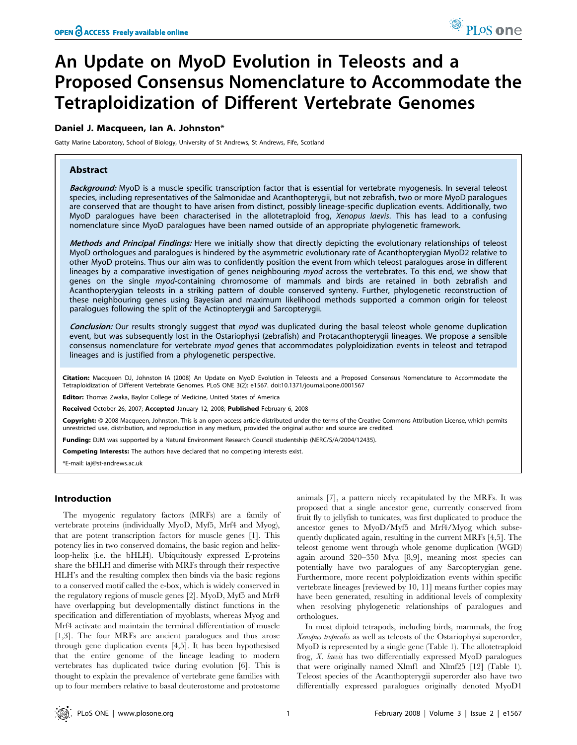# An Update on MyoD Evolution in Teleosts and a Proposed Consensus Nomenclature to Accommodate the Tetraploidization of Different Vertebrate Genomes

# Daniel J. Macqueen, Ian A. Johnston\*

Gatty Marine Laboratory, School of Biology, University of St Andrews, St Andrews, Fife, Scotland

# Abstract

Background: MyoD is a muscle specific transcription factor that is essential for vertebrate myogenesis. In several teleost species, including representatives of the Salmonidae and Acanthopterygii, but not zebrafish, two or more MyoD paralogues are conserved that are thought to have arisen from distinct, possibly lineage-specific duplication events. Additionally, two MyoD paralogues have been characterised in the allotetraploid frog, Xenopus laevis. This has lead to a confusing nomenclature since MyoD paralogues have been named outside of an appropriate phylogenetic framework.

Methods and Principal Findings: Here we initially show that directly depicting the evolutionary relationships of teleost MyoD orthologues and paralogues is hindered by the asymmetric evolutionary rate of Acanthopterygian MyoD2 relative to other MyoD proteins. Thus our aim was to confidently position the event from which teleost paralogues arose in different lineages by a comparative investigation of genes neighbouring myod across the vertebrates. To this end, we show that genes on the single myod-containing chromosome of mammals and birds are retained in both zebrafish and Acanthopterygian teleosts in a striking pattern of double conserved synteny. Further, phylogenetic reconstruction of these neighbouring genes using Bayesian and maximum likelihood methods supported a common origin for teleost paralogues following the split of the Actinopterygii and Sarcopterygii.

Conclusion: Our results strongly suggest that myod was duplicated during the basal teleost whole genome duplication event, but was subsequently lost in the Ostariophysi (zebrafish) and Protacanthopterygii lineages. We propose a sensible consensus nomenclature for vertebrate myod genes that accommodates polyploidization events in teleost and tetrapod lineages and is justified from a phylogenetic perspective.

Citation: Macqueen DJ, Johnston IA (2008) An Update on MyoD Evolution in Teleosts and a Proposed Consensus Nomenclature to Accommodate the Tetraploidization of Different Vertebrate Genomes. PLoS ONE 3(2): e1567. doi:10.1371/journal.pone.0001567

Editor: Thomas Zwaka, Baylor College of Medicine, United States of America

Received October 26, 2007; Accepted January 12, 2008; Published February 6, 2008

Copyright: © 2008 Macqueen, Johnston. This is an open-access article distributed under the terms of the Creative Commons Attribution License, which permits unrestricted use, distribution, and reproduction in any medium, provided the original author and source are credited.

Funding: DJM was supported by a Natural Environment Research Council studentship (NERC/S/A/2004/12435).

Competing Interests: The authors have declared that no competing interests exist.

\*E-mail: iaj@st-andrews.ac.uk

## Introduction

The myogenic regulatory factors (MRFs) are a family of vertebrate proteins (individually MyoD, Myf5, Mrf4 and Myog), that are potent transcription factors for muscle genes [1]. This potency lies in two conserved domains, the basic region and helixloop-helix (i.e. the bHLH). Ubiquitously expressed E-proteins share the bHLH and dimerise with MRFs through their respective HLH's and the resulting complex then binds via the basic regions to a conserved motif called the e-box, which is widely conserved in the regulatory regions of muscle genes [2]. MyoD, Myf5 and Mrf4 have overlapping but developmentally distinct functions in the specification and differentiation of myoblasts, whereas Myog and Mrf4 activate and maintain the terminal differentiation of muscle [1,3]. The four MRFs are ancient paralogues and thus arose through gene duplication events [4,5]. It has been hypothesised that the entire genome of the lineage leading to modern vertebrates has duplicated twice during evolution [6]. This is thought to explain the prevalence of vertebrate gene families with up to four members relative to basal deuterostome and protostome

animals [7], a pattern nicely recapitulated by the MRFs. It was proposed that a single ancestor gene, currently conserved from fruit fly to jellyfish to tunicates, was first duplicated to produce the ancestor genes to MyoD/Myf5 and Mrf4/Myog which subsequently duplicated again, resulting in the current MRFs [4,5]. The teleost genome went through whole genome duplication (WGD) again around 320–350 Mya [8,9], meaning most species can potentially have two paralogues of any Sarcopterygian gene. Furthermore, more recent polyploidization events within specific vertebrate lineages [reviewed by 10, 11] means further copies may have been generated, resulting in additional levels of complexity when resolving phylogenetic relationships of paralogues and orthologues.

In most diploid tetrapods, including birds, mammals, the frog Xenopus tropicalis as well as teleosts of the Ostariophysi superorder, MyoD is represented by a single gene (Table 1). The allotetraploid frog, X. laevis has two differentially expressed MyoD paralogues that were originally named Xlmf1 and Xlmf25 [12] (Table 1). Teleost species of the Acanthopterygii superorder also have two differentially expressed paralogues originally denoted MyoD1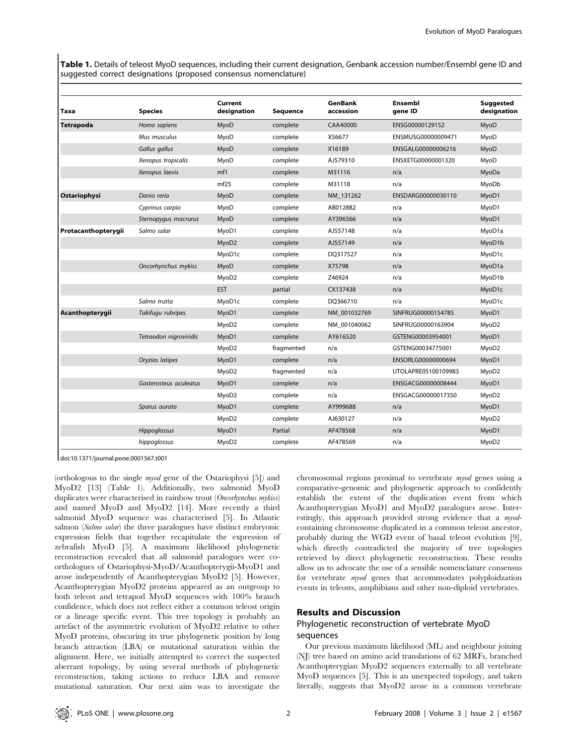Table 1. Details of teleost MyoD sequences, including their current designation, Genbank accession number/Ensembl gene ID and suggested correct designations (proposed consensus nomenclature)

| <b>Taxa</b>         | <b>Species</b>         | Current<br>designation | <b>Sequence</b> | <b>GenBank</b><br>accession | Ensembl<br>gene ID  | <b>Suggested</b><br>designation |
|---------------------|------------------------|------------------------|-----------------|-----------------------------|---------------------|---------------------------------|
| Tetrapoda           | Homo sapiens           | MyoD                   | complete        | CAA40000                    | ENSG00000129152     | MyoD                            |
|                     | Mus musculus           | MyoD                   | complete        | X56677                      | ENSMUSG00000009471  | MyoD                            |
|                     | Gallus gallus          | MyoD                   | complete        | X16189                      | ENSGALG00000006216  | MyoD                            |
|                     | Xenopus tropicalis     | MyoD                   | complete        | AJ579310                    | ENSXETG00000001320  | MyoD                            |
|                     | Xenopus laevis         | mf1                    | complete        | M31116                      | n/a                 | MyoDa                           |
|                     |                        | mf25                   | complete        | M31118                      | n/a                 | MyoDb                           |
| Ostariophysi        | Danio rerio            | MyoD                   | complete        | NM 131262                   | ENSDARG00000030110  | MyoD1                           |
|                     | Cyprinus carpio        | MyoD                   | complete        | AB012882                    | n/a                 | MyoD1                           |
|                     | Sternopygus macrurus   | MyoD                   | complete        | AY396566                    | n/a                 | MyoD1                           |
| Protacanthopterygii | Salmo salar            | MyoD1                  | complete        | AJ557148                    | n/a                 | MyoD1a                          |
|                     |                        | MyoD2                  | complete        | AJ557149                    | n/a                 | MyoD1b                          |
|                     |                        | MyoD1c                 | complete        | DO317527                    | n/a                 | MyoD1c                          |
|                     | Oncorhynchus mykiss    | MyoD                   | complete        | X75798                      | n/a                 | MyoD1a                          |
|                     |                        | MyoD2                  | complete        | Z46924                      | n/a                 | MyoD1b                          |
|                     |                        | <b>EST</b>             | partial         | CX137438                    | n/a                 | MyoD1c                          |
|                     | Salmo trutta           | MyoD1c                 | complete        | DQ366710                    | n/a                 | MyoD1c                          |
| Acanthopterygii     | Takifugu rubripes      | MyoD1                  | complete        | NM_001032769                | SINFRUG00000154785  | MyoD1                           |
|                     |                        | MyoD <sub>2</sub>      | complete        | NM 001040062                | SINFRUG00000163904  | MyoD2                           |
|                     | Tetraodon nigroviridis | MyoD1                  | complete        | AY616520                    | GSTENG00003954001   | MyoD1                           |
|                     |                        | MyoD <sub>2</sub>      | fragmented      | n/a                         | GSTENG00034775001   | MyoD2                           |
|                     | Oryzias latipes        | MyoD1                  | complete        | n/a                         | ENSORLG00000000694  | MyoD1                           |
|                     |                        | MyoD2                  | fragmented      | n/a                         | UTOLAPRE05100109983 | MyoD2                           |
|                     | Gasterosteus aculeatus | MyoD1                  | complete        | n/a                         | ENSGACG00000008444  | MyoD1                           |
|                     |                        | MyoD2                  | complete        | n/a                         | ENSGACG00000017350  | MyoD2                           |
|                     | Sparus aurata          | MyoD1                  | complete        | AY999688                    | n/a                 | MyoD1                           |
|                     |                        | MyoD <sub>2</sub>      | complete        | AJ630127                    | n/a                 | MyoD2                           |
|                     | Hippoglossus           | MyoD1                  | Partial         | AF478568                    | n/a                 | MyoD1                           |
|                     | hippoglossus           | MyoD <sub>2</sub>      | complete        | AF478569                    | n/a                 | MyoD2                           |

doi:10.1371/journal.pone.0001567.t001

(orthologous to the single myod gene of the Ostariophysi [5]) and MyoD2 [13] (Table 1). Additionally, two salmonid MyoD duplicates were characterised in rainbow trout (Oncorhynchus mykiss) and named MyoD and MyoD2 [14]. More recently a third salmonid MyoD sequence was characterised [5]. In Atlantic salmon (Salmo salar) the three paralogues have distinct embryonic expression fields that together recapitulate the expression of zebrafish MyoD [5]. A maximum likelihood phylogenetic reconstruction revealed that all salmonid paralogues were coorthologues of Ostariophysi-MyoD/Acanthopterygii-MyoD1 and arose independently of Acanthopterygian MyoD2 [5]. However, Acanthopterygian MyoD2 proteins appeared as an outgroup to both teleost and tetrapod MyoD sequences with 100% branch confidence, which does not reflect either a common teleost origin or a lineage specific event. This tree topology is probably an artefact of the asymmetric evolution of MyoD2 relative to other MyoD proteins, obscuring its true phylogenetic position by long branch attraction (LBA) or mutational saturation within the alignment. Here, we initially attempted to correct the suspected aberrant topology, by using several methods of phylogenetic reconstruction, taking actions to reduce LBA and remove mutational saturation. Our next aim was to investigate the chromosomal regions proximal to vertebrate myod genes using a comparative-genomic and phylogenetic approach to confidently establish the extent of the duplication event from which Acanthopterygian MyoD1 and MyoD2 paralogues arose. Interestingly, this approach provided strong evidence that a myodcontaining chromosome duplicated in a common teleost ancestor, probably during the WGD event of basal teleost evolution [9], which directly contradicted the majority of tree topologies retrieved by direct phylogenetic reconstruction. These results allow us to advocate the use of a sensible nomenclature consensus for vertebrate myod genes that accommodates polyploidzation events in teleosts, amphibians and other non-diploid vertebrates.

## Results and Discussion

# Phylogenetic reconstruction of vertebrate MyoD sequences

Our previous maximum likelihood (ML) and neighbour joining (NJ) tree based on amino acid translations of 62 MRFs, branched Acanthopterygian MyoD2 sequences externally to all vertebrate MyoD sequences [5]. This is an unexpected topology, and taken literally, suggests that MyoD2 arose in a common vertebrate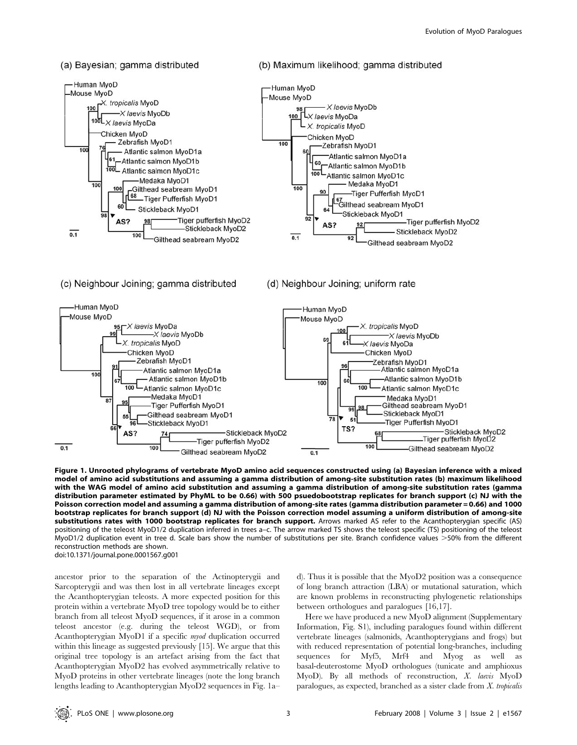#### (a) Bayesian; gamma distributed



## (c) Neighbour Joining; gamma distributed

## (d) Neighbour Joining; uniform rate

(b) Maximum likelihood; gamma distributed



Figure 1. Unrooted phylograms of vertebrate MyoD amino acid sequences constructed using (a) Bayesian inference with a mixed model of amino acid substitutions and assuming a gamma distribution of among-site substitution rates (b) maximum likelihood with the WAG model of amino acid substitution and assuming a gamma distribution of among-site substitution rates (gamma distribution parameter estimated by PhyML to be 0.66) with 500 psuedobootstrap replicates for branch support (c) NJ with the Poisson correction model and assuming a gamma distribution of among-site rates (gamma distribution parameter = 0.66) and 1000 bootstrap replicates for branch support (d) NJ with the Poisson correction model assuming a uniform distribution of among-site substitutions rates with 1000 bootstrap replicates for branch support. Arrows marked AS refer to the Acanthopterygian specific (AS) positioning of the teleost MyoD1/2 duplication inferred in trees a–c. The arrow marked TS shows the teleost specific (TS) positioning of the teleost MyoD1/2 duplication event in tree d. Scale bars show the number of substitutions per site. Branch confidence values >50% from the different reconstruction methods are shown. doi:10.1371/journal.pone.0001567.g001

ancestor prior to the separation of the Actinopterygii and Sarcopterygii and was then lost in all vertebrate lineages except the Acanthopterygian teleosts. A more expected position for this protein within a vertebrate MyoD tree topology would be to either branch from all teleost MyoD sequences, if it arose in a common teleost ancestor (e.g. during the teleost WGD), or from Acanthopterygian MyoD1 if a specific myod duplication occurred within this lineage as suggested previously [15]. We argue that this original tree topology is an artefact arising from the fact that Acanthopterygian MyoD2 has evolved asymmetrically relative to MyoD proteins in other vertebrate lineages (note the long branch lengths leading to Acanthopterygian MyoD2 sequences in Fig. 1a–

d). Thus it is possible that the MyoD2 position was a consequence of long branch attraction (LBA) or mutational saturation, which are known problems in reconstructing phylogenetic relationships between orthologues and paralogues [16,17].

Here we have produced a new MyoD alignment (Supplementary Information, Fig. S1), including paralogues found within different vertebrate lineages (salmonids, Acanthopterygians and frogs) but with reduced representation of potential long-branches, including sequences for Myf5, Mrf4 and Myog as well as basal-deuterostome MyoD orthologues (tunicate and amphioxus MyoD). By all methods of reconstruction, X. laevis MyoD paralogues, as expected, branched as a sister clade from  $X$ . tropicalis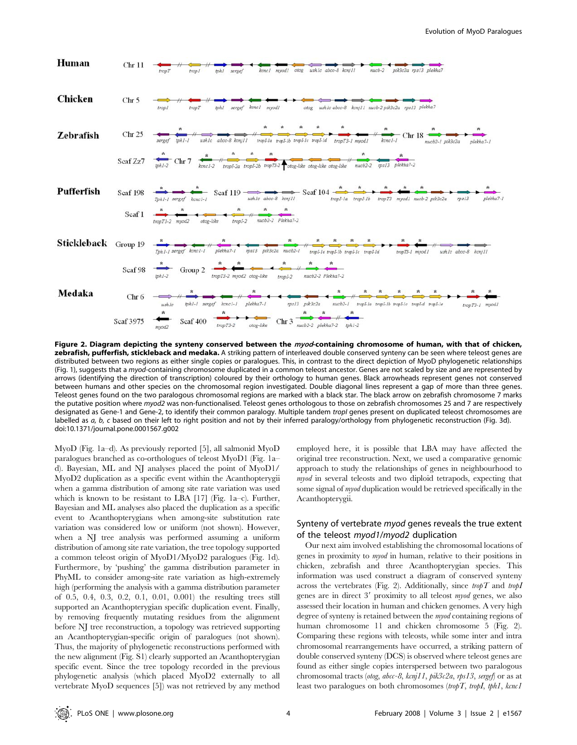

Figure 2. Diagram depicting the synteny conserved between the myod-containing chromosome of human, with that of chicken, zebrafish, pufferfish, stickleback and medaka. A striking pattern of interleaved double conserved synteny can be seen where teleost genes are distributed between two regions as either single copies or paralogues. This, in contrast to the direct depiction of MyoD phylogenetic relationships (Fig. 1), suggests that a myod-containing chromosome duplicated in a common teleost ancestor. Genes are not scaled by size and are represented by arrows (identifying the direction of transcription) coloured by their orthology to human genes. Black arrowheads represent genes not conserved between humans and other species on the chromosomal region investigated. Double diagonal lines represent a gap of more than three genes. Teleost genes found on the two paralogous chromosomal regions are marked with a black star. The black arrow on zebrafish chromosome 7 marks the putative position where myod2 was non-functionalised. Teleost genes orthologous to those on zebrafish chromosomes 25 and 7 are respectively designated as Gene-1 and Gene-2, to identify their common paralogy. Multiple tandem tropl genes present on duplicated teleost chromosomes are labelled as a, b, c based on their left to right position and not by their inferred paralogy/orthology from phylogenetic reconstruction (Fig. 3d). doi:10.1371/journal.pone.0001567.g002

MyoD (Fig. 1a–d). As previously reported [5], all salmonid MyoD paralogues branched as co-orthologues of teleost MyoD1 (Fig. 1a– d). Bayesian, ML and NJ analyses placed the point of MyoD1/ MyoD2 duplication as a specific event within the Acanthopterygii when a gamma distribution of among site rate variation was used which is known to be resistant to LBA  $[17]$  (Fig. 1a–c). Further, Bayesian and ML analyses also placed the duplication as a specific event to Acanthopterygians when among-site substitution rate variation was considered low or uniform (not shown). However, when a NJ tree analysis was performed assuming a uniform distribution of among site rate variation, the tree topology supported a common teleost origin of MyoD1/MyoD2 paralogues (Fig. 1d). Furthermore, by 'pushing' the gamma distribution parameter in PhyML to consider among-site rate variation as high-extremely high (performing the analysis with a gamma distribution parameter of 0.5, 0.4, 0.3, 0.2, 0.1, 0.01, 0.001) the resulting trees still supported an Acanthopterygian specific duplication event. Finally, by removing frequently mutating residues from the alignment before NJ tree reconstruction, a topology was retrieved supporting an Acanthopterygian-specific origin of paralogues (not shown). Thus, the majority of phylogenetic reconstructions performed with the new alignment (Fig. S1) clearly supported an Acanthopterygian specific event. Since the tree topology recorded in the previous phylogenetic analysis (which placed MyoD2 externally to all vertebrate MyoD sequences [5]) was not retrieved by any method employed here, it is possible that LBA may have affected the original tree reconstruction. Next, we used a comparative genomic approach to study the relationships of genes in neighbourhood to myod in several teleosts and two diploid tetrapods, expecting that some signal of myod duplication would be retrieved specifically in the Acanthopterygii.

# Synteny of vertebrate myod genes reveals the true extent of the teleost myod1/myod2 duplication

Our next aim involved establishing the chromosomal locations of genes in proximity to myod in human, relative to their positions in chicken, zebrafish and three Acanthopterygian species. This information was used construct a diagram of conserved synteny across the vertebrates (Fig. 2). Additionally, since  $tropT$  and  $tropI$ genes are in direct  $3'$  proximity to all teleost myod genes, we also assessed their location in human and chicken genomes. A very high degree of synteny is retained between the myod containing regions of human chromosome 11 and chicken chromosome 5 (Fig. 2). Comparing these regions with teleosts, while some inter and intra chromosomal rearrangements have occurred, a striking pattern of double conserved synteny (DCS) is observed where teleost genes are found as either single copies interspersed between two paralogous chromosomal tracts (otog, abcc-8, kcnj11, pik3c2a, rps13, sergef) or as at least two paralogues on both chromosomes (tropT, tropI, tph1,  $kcncl$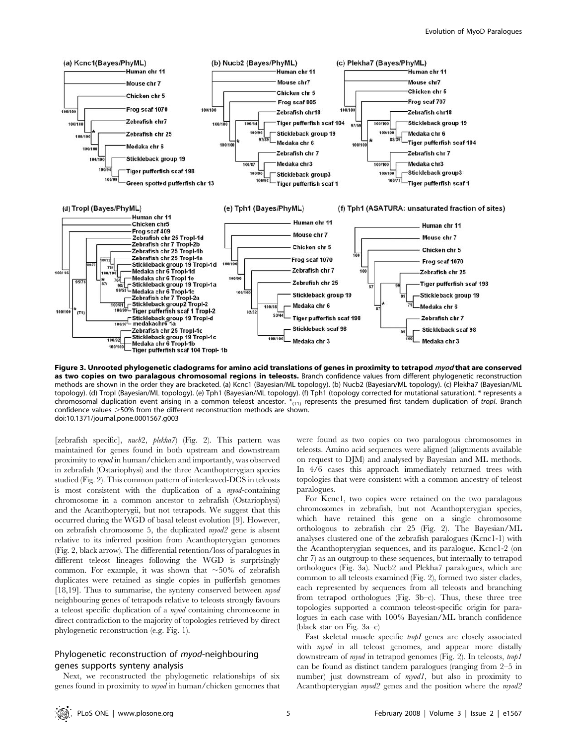

Figure 3. Unrooted phylogenetic cladograms for amino acid translations of genes in proximity to tetrapod *myod* that are conserved as two copies on two paralagous chromosomal regions in teleosts. Branch confidence values from different phylogenetic reconstruction methods are shown in the order they are bracketed. (a) Kcnc1 (Bayesian/ML topology). (b) Nucb2 (Bayesian/ML topology). (c) Plekha7 (Bayesian/ML topology). (d) TropI (Bayesian/ML topology). (e) Tph1 (Bayesian/ML topology). (f) Tph1 (topology corrected for mutational saturation). \* represents a chromosomal duplication event arising in a common teleost ancestor.  $*_{(T1)}$  represents the presumed first tandem duplication of *tropl*. Branch confidence values  $>$  50% from the different reconstruction methods are shown. doi:10.1371/journal.pone.0001567.g003

[zebrafish specific],  $nucb2$ ,  $plekha7$  (Fig. 2). This pattern was maintained for genes found in both upstream and downstream proximity to myod in human/chicken and importantly, was observed in zebrafish (Ostariophysi) and the three Acanthopterygian species studied (Fig. 2). This common pattern of interleaved-DCS in teleosts is most consistent with the duplication of a myod-containing chromosome in a common ancestor to zebrafish (Ostariophysi) and the Acanthopterygii, but not tetrapods. We suggest that this occurred during the WGD of basal teleost evolution [9]. However, on zebrafish chromosome 5, the duplicated myod2 gene is absent relative to its inferred position from Acanthopterygian genomes (Fig. 2, black arrow). The differential retention/loss of paralogues in different teleost lineages following the WGD is surprisingly common. For example, it was shown that  $\sim 50\%$  of zebrafish duplicates were retained as single copies in pufferfish genomes [18,19]. Thus to summarise, the synteny conserved between myod neighbouring genes of tetrapods relative to teleosts strongly favours a teleost specific duplication of a myod containing chromosome in direct contradiction to the majority of topologies retrieved by direct phylogenetic reconstruction (e.g. Fig. 1).

# Phylogenetic reconstruction of myod-neighbouring genes supports synteny analysis

Next, we reconstructed the phylogenetic relationships of six genes found in proximity to myod in human/chicken genomes that were found as two copies on two paralogous chromosomes in teleosts. Amino acid sequences were aligned (alignments available on request to DJM) and analysed by Bayesian and ML methods. In 4/6 cases this approach immediately returned trees with topologies that were consistent with a common ancestry of teleost paralogues.

For Kcnc1, two copies were retained on the two paralagous chromosomes in zebrafish, but not Acanthopterygian species, which have retained this gene on a single chromosome orthologous to zebrafish chr 25 (Fig. 2). The Bayesian/ML analyses clustered one of the zebrafish paralogues (Kcnc1-1) with the Acanthopterygian sequences, and its paralogue, Kcnc1-2 (on chr 7) as an outgroup to these sequences, but internally to tetrapod orthologues (Fig. 3a). Nucb2 and Plekha7 paralogues, which are common to all teleosts examined (Fig. 2), formed two sister clades, each represented by sequences from all teleosts and branching from tetrapod orthologues (Fig. 3b–c). Thus, these three tree topologies supported a common teleost-specific origin for paralogues in each case with 100% Bayesian/ML branch confidence (black star on Fig. 3a–c)

Fast skeletal muscle specific tropI genes are closely associated with myod in all teleost genomes, and appear more distally downstream of myod in tetrapod genomes (Fig. 2). In teleosts, trop1 can be found as distinct tandem paralogues (ranging from 2–5 in number) just downstream of *myod1*, but also in proximity to Acanthopterygian myod2 genes and the position where the myod2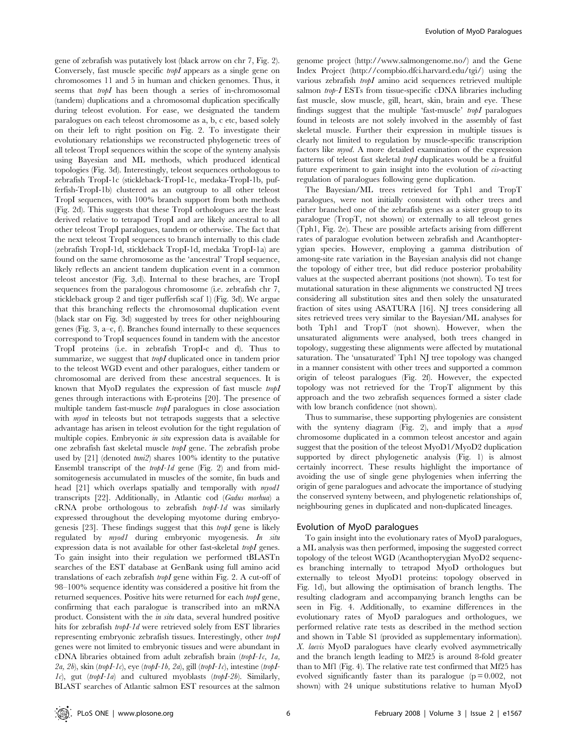gene of zebrafish was putatively lost (black arrow on chr 7, Fig. 2). Conversely, fast muscle specific *tropI* appears as a single gene on chromosomes 11 and 5 in human and chicken genomes. Thus, it seems that tropI has been though a series of in-chromosomal (tandem) duplications and a chromosomal duplication specifically during teleost evolution. For ease, we designated the tandem paralogues on each teleost chromosome as a, b, c etc, based solely on their left to right position on Fig. 2. To investigate their evolutionary relationships we reconstructed phylogenetic trees of all teleost TropI sequences within the scope of the synteny analysis using Bayesian and ML methods, which produced identical topologies (Fig. 3d). Interestingly, teleost sequences orthologous to zebrafish TropI-1c (stickleback-TropI-1c, medaka-TropI-1b, pufferfish-TropI-1b) clustered as an outgroup to all other teleost TropI sequences, with 100% branch support from both methods (Fig. 2d). This suggests that these TropI orthologues are the least derived relative to tetrapod TropI and are likely ancestral to all other teleost TropI paralogues, tandem or otherwise. The fact that the next teleost TropI sequences to branch internally to this clade (zebrafish TropI-1d, stickleback TropI-1d, medaka TropI-1a) are found on the same chromosome as the 'ancestral' TropI sequence, likely reflects an ancient tandem duplication event in a common teleost ancestor (Fig. 3,d). Internal to these braches, are TropI sequences from the paralogous chromosome (i.e. zebrafish chr 7, stickleback group 2 and tiger pufferfish scaf 1) (Fig. 3d). We argue that this branching reflects the chromosomal duplication event (black star on Fig. 3d) suggested by trees for other neighbouring genes (Fig. 3, a–c, f). Branches found internally to these sequences correspond to TropI sequences found in tandem with the ancestor TropI proteins (i.e. in zebrafish TropI-c and d). Thus to summarize, we suggest that *tropI* duplicated once in tandem prior to the teleost WGD event and other paralogues, either tandem or chromosomal are derived from these ancestral sequences. It is known that MyoD regulates the expression of fast muscle tropI genes through interactions with E-proteins [20]. The presence of multiple tandem fast-muscle *tropI* paralogues in close association with myod in teleosts but not tetrapods suggests that a selective advantage has arisen in teleost evolution for the tight regulation of multiple copies. Embryonic in situ expression data is available for one zebrafish fast skeletal muscle tropI gene. The zebrafish probe used by [21] (denoted *tmi2*) shares 100% identity to the putative Ensembl transcript of the tropI-1d gene (Fig. 2) and from midsomitogenesis accumulated in muscles of the somite, fin buds and head [21] which overlaps spatially and temporally with myod1 transcripts [22]. Additionally, in Atlantic cod (Gadus morhua) a cRNA probe orthologous to zebrafish tropI-1d was similarly expressed throughout the developing myotome during embryogenesis [23]. These findings suggest that this  $tropI$  gene is likely regulated by *myod1* during embryonic myogenesis. In situ expression data is not available for other fast-skeletal tropI genes. To gain insight into their regulation we performed tBLASTn searches of the EST database at GenBank using full amino acid translations of each zebrafish tropI gene within Fig. 2. A cut-off of 98–100% sequence identity was considered a positive hit from the returned sequences. Positive hits were returned for each tropI gene, confirming that each paralogue is transcribed into an mRNA product. Consistent with the in situ data, several hundred positive hits for zebrafish tropI-1d were retrieved solely from EST libraries representing embryonic zebrafish tissues. Interestingly, other tropI genes were not limited to embryonic tissues and were abundant in cDNA libraries obtained from adult zebrafish brain (tropI-1c, 1a,  $2a, 2b$ ), skin (tropI-1c), eye (tropI-1b, 2a), gill (tropI-1c), intestine (tropI-1c), gut (tropI-1a) and cultured myoblasts (tropI-2b). Similarly, BLAST searches of Atlantic salmon EST resources at the salmon

genome project (http://www.salmongenome.no/) and the Gene Index Project (http://compbio.dfci.harvard.edu/tgi/) using the various zebrafish tropI amino acid sequences retrieved multiple salmon trop-I ESTs from tissue-specific cDNA libraries including fast muscle, slow muscle, gill, heart, skin, brain and eye. These findings suggest that the multiple 'fast-muscle' tropI paralogues found in teleosts are not solely involved in the assembly of fast skeletal muscle. Further their expression in multiple tissues is clearly not limited to regulation by muscle-specific transcription factors like myod. A more detailed examination of the expression patterns of teleost fast skeletal tropI duplicates would be a fruitful future experiment to gain insight into the evolution of cis-acting regulation of paralogues following gene duplication.

The Bayesian/ML trees retrieved for Tph1 and TropT paralogues, were not initially consistent with other trees and either branched one of the zebrafish genes as a sister group to its paralogue (TropT, not shown) or externally to all teleost genes (Tph1, Fig. 2e). These are possible artefacts arising from different rates of paralogue evolution between zebrafish and Acanthopterygian species. However, employing a gamma distribution of among-site rate variation in the Bayesian analysis did not change the topology of either tree, but did reduce posterior probability values at the suspected aberrant positions (not shown). To test for mutational saturation in these alignments we constructed NJ trees considering all substitution sites and then solely the unsaturated fraction of sites using ASATURA [16]. NJ trees considering all sites retrieved trees very similar to the Bayesian/ML analyses for both Tph1 and TropT (not shown). However, when the unsaturated alignments were analysed, both trees changed in topology, suggesting these alignments were affected by mutational saturation. The 'unsaturated' Tph1 NJ tree topology was changed in a manner consistent with other trees and supported a common origin of teleost paralogues (Fig. 2f). However, the expected topology was not retrieved for the TropT alignment by this approach and the two zebrafish sequences formed a sister clade with low branch confidence (not shown).

Thus to summarise, these supporting phylogenies are consistent with the synteny diagram (Fig. 2), and imply that a *myod* chromosome duplicated in a common teleost ancestor and again suggest that the position of the teleost MyoD1/MyoD2 duplication supported by direct phylogenetic analysis (Fig. 1) is almost certainly incorrect. These results highlight the importance of avoiding the use of single gene phylogenies when inferring the origin of gene paralogues and advocate the importance of studying the conserved synteny between, and phylogenetic relationships of, neighbouring genes in duplicated and non-duplicated lineages.

#### Evolution of MyoD paralogues

To gain insight into the evolutionary rates of MyoD paralogues, a ML analysis was then performed, imposing the suggested correct topology of the teleost WGD (Acanthopterygian MyoD2 sequences branching internally to tetrapod MyoD orthologues but externally to teleost MyoD1 proteins: topology observed in Fig. 1d), but allowing the optimisation of branch lengths. The resulting cladogram and accompanying branch lengths can be seen in Fig. 4. Additionally, to examine differences in the evolutionary rates of MyoD paralogues and orthologues, we performed relative rate tests as described in the method section and shown in Table S1 (provided as supplementary information). X. laevis MyoD paralogues have clearly evolved asymmetrically and the branch length leading to Mf25 is around 8-fold greater than to Mf1 (Fig. 4). The relative rate test confirmed that Mf25 has evolved significantly faster than its paralogue  $(p = 0.002, not$ shown) with 24 unique substitutions relative to human MyoD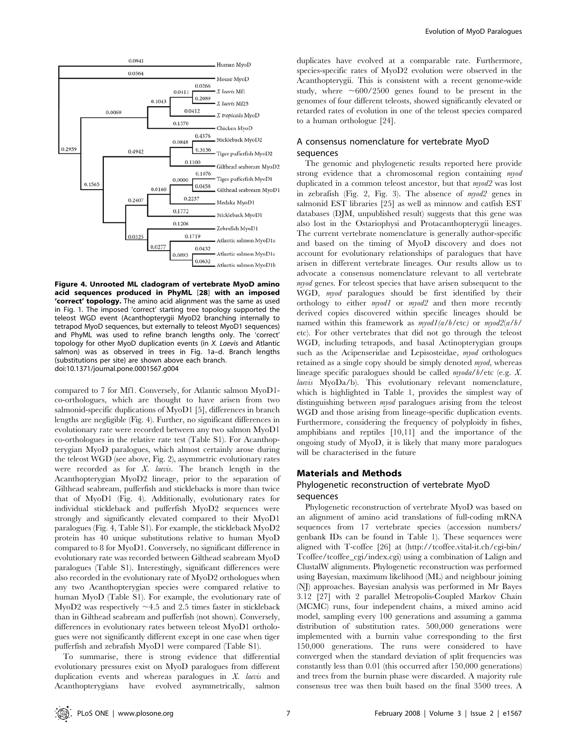

Figure 4. Unrooted ML cladogram of vertebrate MyoD amino acid sequences produced in PhyML [28] with an imposed 'correct' topology. The amino acid alignment was the same as used in Fig. 1. The imposed 'correct' starting tree topology supported the teleost WGD event (Acanthopterygii MyoD2 branching internally to tetrapod MyoD sequences, but externally to teleost MyoD1 sequences) and PhyML was used to refine branch lengths only. The 'correct' topology for other MyoD duplication events (in X. Laevis and Atlantic salmon) was as observed in trees in Fig. 1a–d. Branch lengths (substitutions per site) are shown above each branch. doi:10.1371/journal.pone.0001567.g004

compared to 7 for Mf1. Conversely, for Atlantic salmon MyoD1 co-orthologues, which are thought to have arisen from two salmonid-specific duplications of MyoD1 [5], differences in branch lengths are negligible (Fig. 4). Further, no significant differences in evolutionary rate were recorded between any two salmon MyoD1 co-orthologues in the relative rate test (Table S1). For Acanthopterygian MyoD paralogues, which almost certainly arose during the teleost WGD (see above, Fig. 2), asymmetric evolutionary rates were recorded as for X. laevis. The branch length in the Acanthopterygian MyoD2 lineage, prior to the separation of Gilthead seabream, pufferfish and sticklebacks is more than twice that of MyoD1 (Fig. 4). Additionally, evolutionary rates for individual stickleback and pufferfish MyoD2 sequences were strongly and significantly elevated compared to their MyoD1 paralogues (Fig. 4, Table S1). For example, the stickleback MyoD2 protein has 40 unique substitutions relative to human MyoD compared to 8 for MyoD1. Conversely, no significant difference in evolutionary rate was recorded between Gilthead seabream MyoD paralogues (Table S1). Interestingly, significant differences were also recorded in the evolutionary rate of MyoD2 orthologues when any two Acanthopterygian species were compared relative to human MyoD (Table S1). For example, the evolutionary rate of MyoD2 was respectively  $\sim$ 4.5 and 2.5 times faster in stickleback than in Gilthead seabream and pufferfish (not shown). Conversely, differences in evolutionary rates between teleost MyoD1 orthologues were not significantly different except in one case when tiger pufferfish and zebrafish MyoD1 were compared (Table S1).

To summarise, there is strong evidence that differential evolutionary pressures exist on MyoD paralogues from different duplication events and whereas paralogues in  $X$ . laevis and Acanthopterygians have evolved asymmetrically, salmon duplicates have evolved at a comparable rate. Furthermore, species-specific rates of MyoD2 evolution were observed in the Acanthopterygii. This is consistent with a recent genome-wide study, where  $\sim 600/2500$  genes found to be present in the genomes of four different teleosts, showed significantly elevated or retarded rates of evolution in one of the teleost species compared to a human orthologue [24].

## A consensus nomenclature for vertebrate MyoD sequences

The genomic and phylogenetic results reported here provide strong evidence that a chromosomal region containing myod duplicated in a common teleost ancestor, but that myod2 was lost in zebrafish (Fig. 2, Fig. 3). The absence of myod2 genes in salmonid EST libraries [25] as well as minnow and catfish EST databases (DJM, unpublished result) suggests that this gene was also lost in the Ostariophysi and Protacanthopterygii lineages. The current vertebrate nomenclature is generally author-specific and based on the timing of MyoD discovery and does not account for evolutionary relationships of paralogues that have arisen in different vertebrate lineages. Our results allow us to advocate a consensus nomenclature relevant to all vertebrate myod genes. For teleost species that have arisen subsequent to the WGD, myod paralogues should be first identified by their orthology to either *myod1* or *myod2* and then more recently derived copies discovered within specific lineages should be named within this framework as  $myod1(a/b/etc)$  or  $myod2(a/b/$ etc). For other vertebrates that did not go through the teleost WGD, including tetrapods, and basal Actinopterygian groups such as the Acipenseridae and Lepisosteidae, *myod* orthologues retained as a single copy should be simply denoted myod, whereas lineage specific paralogues should be called myoda/b/etc (e.g. X. laevis MyoDa/b). This evolutionary relevant nomenclature, which is highlighted in Table 1, provides the simplest way of distinguishing between myod paralogues arising from the teleost WGD and those arising from lineage-specific duplication events. Furthermore, considering the frequency of polyploidy in fishes, amphibians and reptiles [10,11] and the importance of the ongoing study of MyoD, it is likely that many more paralogues will be characterised in the future

#### Materials and Methods

## Phylogenetic reconstruction of vertebrate MyoD sequences

Phylogenetic reconstruction of vertebrate MyoD was based on an alignment of amino acid translations of full-coding mRNA sequences from 17 vertebrate species (accession numbers/ genbank IDs can be found in Table 1). These sequences were aligned with T-coffee [26] at (http://tcoffee.vital-it.ch/cgi-bin/ Tcoffee/tcoffee\_cgi/index.cgi) using a combination of Lalign and ClustalW alignments. Phylogenetic reconstruction was performed using Bayesian, maximum likelihood (ML) and neighbour joining (NJ) approaches. Bayesian analysis was performed in Mr Bayes 3.12 [27] with 2 parallel Metropolis-Coupled Markov Chain (MCMC) runs, four independent chains, a mixed amino acid model, sampling every 100 generations and assuming a gamma distribution of substitution rates. 500,000 generations were implemented with a burnin value corresponding to the first 150,000 generations. The runs were considered to have converged when the standard deviation of split frequencies was constantly less than 0.01 (this occurred after 150,000 generations) and trees from the burnin phase were discarded. A majority rule consensus tree was then built based on the final 3500 trees. A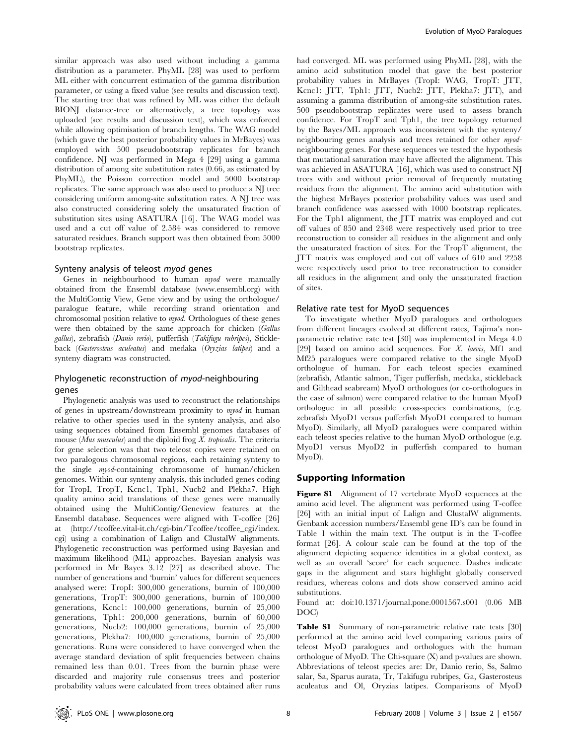similar approach was also used without including a gamma distribution as a parameter. PhyML [28] was used to perform ML either with concurrent estimation of the gamma distribution parameter, or using a fixed value (see results and discussion text). The starting tree that was refined by ML was either the default BIONJ distance-tree or alternatively, a tree topology was uploaded (see results and discussion text), which was enforced while allowing optimisation of branch lengths. The WAG model (which gave the best posterior probability values in MrBayes) was employed with 500 pseudobootstrap replicates for branch confidence. NJ was performed in Mega 4 [29] using a gamma distribution of among site substitution rates (0.66, as estimated by PhyML), the Poisson correction model and 5000 bootstrap replicates. The same approach was also used to produce a NJ tree considering uniform among-site substitution rates. A NJ tree was also constructed considering solely the unsaturated fraction of substitution sites using ASATURA [16]. The WAG model was used and a cut off value of 2.584 was considered to remove saturated residues. Branch support was then obtained from 5000 bootstrap replicates.

#### Synteny analysis of teleost myod genes

Genes in neighbourhood to human *myod* were manually obtained from the Ensembl database (www.ensembl.org) with the MultiContig View, Gene view and by using the orthologue/ paralogue feature, while recording strand orientation and chromosomal position relative to myod. Orthologues of these genes were then obtained by the same approach for chicken (Gallus gallus), zebrafish (Danio rerio), pufferfish (Takifugu rubripes), Stickleback (Gasterosteus aculeatus) and medaka (Oryzias latipes) and a synteny diagram was constructed.

# Phylogenetic reconstruction of myod-neighbouring genes

Phylogenetic analysis was used to reconstruct the relationships of genes in upstream/downstream proximity to myod in human relative to other species used in the synteny analysis, and also using sequences obtained from Ensembl genomes databases of mouse (Mus musculus) and the diploid frog X. tropicalis. The criteria for gene selection was that two teleost copies were retained on two paralogous chromosomal regions, each retaining synteny to the single myod-containing chromosome of human/chicken genomes. Within our synteny analysis, this included genes coding for TropI, TropT, Kcnc1, Tph1, Nucb2 and Plekha7. High quality amino acid translations of these genes were manually obtained using the MultiContig/Geneview features at the Ensembl database. Sequences were aligned with T-coffee [26] at (http://tcoffee.vital-it.ch/cgi-bin/Tcoffee/tcoffee\_cgi/index. cgi) using a combination of Lalign and ClustalW alignments. Phylogenetic reconstruction was performed using Bayesian and maximum likelihood (ML) approaches. Bayesian analysis was performed in Mr Bayes 3.12 [27] as described above. The number of generations and 'burnin' values for different sequences analysed were: TropI: 300,000 generations, burnin of 100,000 generations, TropT: 300,000 generations, burnin of 100,000 generations, Kcnc1: 100,000 generations, burnin of 25,000 generations, Tph1: 200,000 generations, burnin of 60,000 generations, Nucb2: 100,000 generations, burnin of 25,000 generations, Plekha7: 100,000 generations, burnin of 25,000 generations. Runs were considered to have converged when the average standard deviation of split frequencies between chains remained less than 0.01. Trees from the burnin phase were discarded and majority rule consensus trees and posterior probability values were calculated from trees obtained after runs had converged. ML was performed using PhyML [28], with the amino acid substitution model that gave the best posterior probability values in MrBayes (TropI: WAG, TropT: JTT, Kcnc1: JTT, Tph1: JTT, Nucb2: JTT, Plekha7: JTT), and assuming a gamma distribution of among-site substitution rates. 500 pseudobootstrap replicates were used to assess branch confidence. For TropT and Tph1, the tree topology returned by the Bayes/ML approach was inconsistent with the synteny/ neighbouring genes analysis and trees retained for other myodneighbouring genes. For these sequences we tested the hypothesis that mutational saturation may have affected the alignment. This was achieved in ASATURA [16], which was used to construct NJ trees with and without prior removal of frequently mutating residues from the alignment. The amino acid substitution with the highest MrBayes posterior probability values was used and branch confidence was assessed with 1000 bootstrap replicates. For the Tph1 alignment, the JTT matrix was employed and cut off values of 850 and 2348 were respectively used prior to tree reconstruction to consider all residues in the alignment and only the unsaturated fraction of sites. For the TropT alignment, the JTT matrix was employed and cut off values of 610 and 2258 were respectively used prior to tree reconstruction to consider all residues in the alignment and only the unsaturated fraction of sites.

#### Relative rate test for MyoD sequences

To investigate whether MyoD paralogues and orthologues from different lineages evolved at different rates, Tajima's nonparametric relative rate test [30] was implemented in Mega 4.0 [29] based on amino acid sequences. For  $X$ . laevis, Mf1 and Mf25 paralogues were compared relative to the single MyoD orthologue of human. For each teleost species examined (zebrafish, Atlantic salmon, Tiger pufferfish, medaka, stickleback and Gilthead seabream) MyoD orthologues (or co-orthologues in the case of salmon) were compared relative to the human MyoD orthologue in all possible cross-species combinations, (e.g. zebrafish MyoD1 versus pufferfish MyoD1 compared to human MyoD). Similarly, all MyoD paralogues were compared within each teleost species relative to the human MyoD orthologue (e.g. MyoD1 versus MyoD2 in pufferfish compared to human MyoD).

#### Supporting Information

Figure S1 Alignment of 17 vertebrate MyoD sequences at the amino acid level. The alignment was performed using T-coffee [26] with an initial input of Lalign and ClustalW alignments. Genbank accession numbers/Ensembl gene ID's can be found in Table 1 within the main text. The output is in the T-coffee format [26]. A colour scale can be found at the top of the alignment depicting sequence identities in a global context, as well as an overall 'score' for each sequence. Dashes indicate gaps in the alignment and stars highlight globally conserved residues, whereas colons and dots show conserved amino acid substitutions.

Found at: doi:10.1371/journal.pone.0001567.s001 (0.06 MB DOC)

Table S1 Summary of non-parametric relative rate tests [30] performed at the amino acid level comparing various pairs of teleost MyoD paralogues and orthologues with the human orthologue of MyoD. The Chi-square (X) and p-values are shown. Abbreviations of teleost species are: Dr, Danio rerio, Ss, Salmo salar, Sa, Sparus aurata, Tr, Takifugu rubripes, Ga, Gasterosteus aculeatus and Ol, Oryzias latipes. Comparisons of MyoD